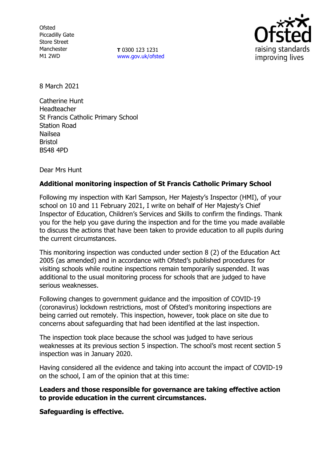**Ofsted** Piccadilly Gate Store Street Manchester M1 2WD

**T** 0300 123 1231 [www.gov.uk/ofsted](http://www.gov.uk/ofsted)



8 March 2021

Catherine Hunt Headteacher St Francis Catholic Primary School Station Road Nailsea Bristol BS48 4PD

Dear Mrs Hunt

## **Additional monitoring inspection of St Francis Catholic Primary School**

Following my inspection with Karl Sampson, Her Majesty's Inspector (HMI), of your school on 10 and 11 February 2021, I write on behalf of Her Majesty's Chief Inspector of Education, Children's Services and Skills to confirm the findings. Thank you for the help you gave during the inspection and for the time you made available to discuss the actions that have been taken to provide education to all pupils during the current circumstances.

This monitoring inspection was conducted under section 8 (2) of the Education Act 2005 (as amended) and in accordance with Ofsted's published procedures for visiting schools while routine inspections remain temporarily suspended. It was additional to the usual monitoring process for schools that are judged to have serious weaknesses.

Following changes to government guidance and the imposition of COVID-19 (coronavirus) lockdown restrictions, most of Ofsted's monitoring inspections are being carried out remotely. This inspection, however, took place on site due to concerns about safeguarding that had been identified at the last inspection.

The inspection took place because the school was judged to have serious weaknesses at its previous section 5 inspection. The school's most recent section 5 inspection was in January 2020.

Having considered all the evidence and taking into account the impact of COVID-19 on the school, I am of the opinion that at this time:

**Leaders and those responsible for governance are taking effective action to provide education in the current circumstances.** 

**Safeguarding is effective.**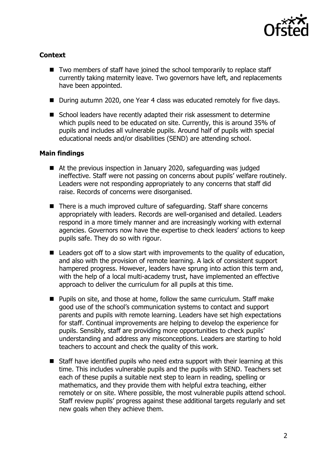

## **Context**

- Two members of staff have joined the school temporarily to replace staff currently taking maternity leave. Two governors have left, and replacements have been appointed.
- During autumn 2020, one Year 4 class was educated remotely for five days.
- School leaders have recently adapted their risk assessment to determine which pupils need to be educated on site. Currently, this is around 35% of pupils and includes all vulnerable pupils. Around half of pupils with special educational needs and/or disabilities (SEND) are attending school.

## **Main findings**

- At the previous inspection in January 2020, safeguarding was judged ineffective. Staff were not passing on concerns about pupils' welfare routinely. Leaders were not responding appropriately to any concerns that staff did raise. Records of concerns were disorganised.
- There is a much improved culture of safeguarding. Staff share concerns appropriately with leaders. Records are well-organised and detailed. Leaders respond in a more timely manner and are increasingly working with external agencies. Governors now have the expertise to check leaders' actions to keep pupils safe. They do so with rigour.
- Leaders got off to a slow start with improvements to the quality of education, and also with the provision of remote learning. A lack of consistent support hampered progress. However, leaders have sprung into action this term and, with the help of a local multi-academy trust, have implemented an effective approach to deliver the curriculum for all pupils at this time.
- Pupils on site, and those at home, follow the same curriculum. Staff make good use of the school's communication systems to contact and support parents and pupils with remote learning. Leaders have set high expectations for staff. Continual improvements are helping to develop the experience for pupils. Sensibly, staff are providing more opportunities to check pupils' understanding and address any misconceptions. Leaders are starting to hold teachers to account and check the quality of this work.
- Staff have identified pupils who need extra support with their learning at this time. This includes vulnerable pupils and the pupils with SEND. Teachers set each of these pupils a suitable next step to learn in reading, spelling or mathematics, and they provide them with helpful extra teaching, either remotely or on site. Where possible, the most vulnerable pupils attend school. Staff review pupils' progress against these additional targets regularly and set new goals when they achieve them.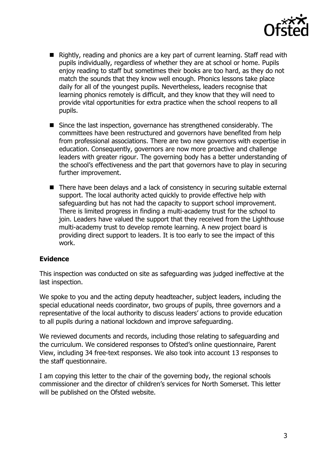

- Rightly, reading and phonics are a key part of current learning. Staff read with pupils individually, regardless of whether they are at school or home. Pupils enjoy reading to staff but sometimes their books are too hard, as they do not match the sounds that they know well enough. Phonics lessons take place daily for all of the youngest pupils. Nevertheless, leaders recognise that learning phonics remotely is difficult, and they know that they will need to provide vital opportunities for extra practice when the school reopens to all pupils.
- Since the last inspection, governance has strengthened considerably. The committees have been restructured and governors have benefited from help from professional associations. There are two new governors with expertise in education. Consequently, governors are now more proactive and challenge leaders with greater rigour. The governing body has a better understanding of the school's effectiveness and the part that governors have to play in securing further improvement.
- There have been delays and a lack of consistency in securing suitable external support. The local authority acted quickly to provide effective help with safeguarding but has not had the capacity to support school improvement. There is limited progress in finding a multi-academy trust for the school to join. Leaders have valued the support that they received from the Lighthouse multi-academy trust to develop remote learning. A new project board is providing direct support to leaders. It is too early to see the impact of this work.

## **Evidence**

This inspection was conducted on site as safeguarding was judged ineffective at the last inspection.

We spoke to you and the acting deputy headteacher, subject leaders, including the special educational needs coordinator, two groups of pupils, three governors and a representative of the local authority to discuss leaders' actions to provide education to all pupils during a national lockdown and improve safeguarding.

We reviewed documents and records, including those relating to safeguarding and the curriculum. We considered responses to Ofsted's online questionnaire, Parent View, including 34 free-text responses. We also took into account 13 responses to the staff questionnaire.

I am copying this letter to the chair of the governing body, the regional schools commissioner and the director of children's services for North Somerset. This letter will be published on the Ofsted website.